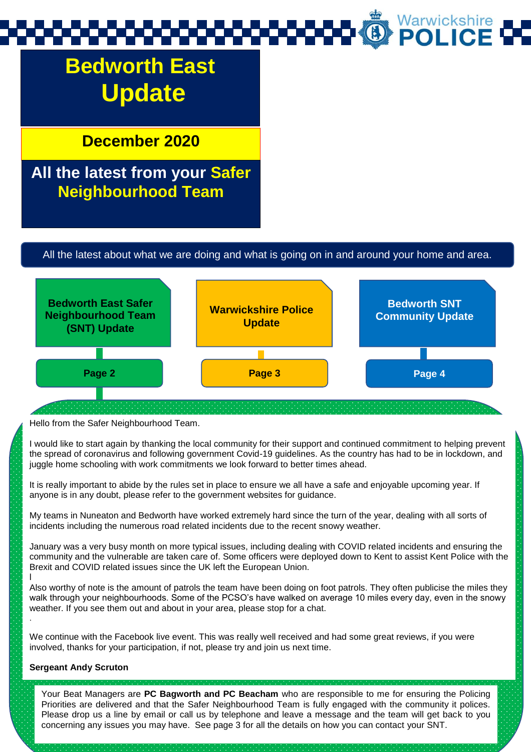## Warwickshire<br>**POLICE**

## **Bedworth East Update**

**December 2020**

## **All the latest from your Safer Neighbourhood Team**

#### All the latest about what we are doing and what is going on in and around your home and area.



Hello from the Safer Neighbourhood Team.

I would like to start again by thanking the local community for their support and continued commitment to helping prevent the spread of coronavirus and following government Covid-19 guidelines. As the country has had to be in lockdown, and juggle home schooling with work commitments we look forward to better times ahead.

It is really important to abide by the rules set in place to ensure we all have a safe and enjoyable upcoming year. If anyone is in any doubt, please refer to the government websites for guidance.

My teams in Nuneaton and Bedworth have worked extremely hard since the turn of the year, dealing with all sorts of incidents including the numerous road related incidents due to the recent snowy weather.

January was a very busy month on more typical issues, including dealing with COVID related incidents and ensuring the community and the vulnerable are taken care of. Some officers were deployed down to Kent to assist Kent Police with the Brexit and COVID related issues since the UK left the European Union.

Also worthy of note is the amount of patrols the team have been doing on foot patrols. They often publicise the miles they walk through your neighbourhoods. Some of the PCSO's have walked on average 10 miles every day, even in the snowy weather. If you see them out and about in your area, please stop for a chat.

We continue with the Facebook live event. This was really well received and had some great reviews, if you were involved, thanks for your participation, if not, please try and join us next time.

#### **Sergeant Andy Scruton**

l

.

Your Beat Managers are **PC Bagworth and PC Beacham** who are responsible to me for ensuring the Policing Priorities are delivered and that the Safer Neighbourhood Team is fully engaged with the community it polices. Please drop us a line by email or call us by telephone and leave a message and the team will get back to you concerning any issues you may have. See page 3 for all the details on how you can contact your SNT.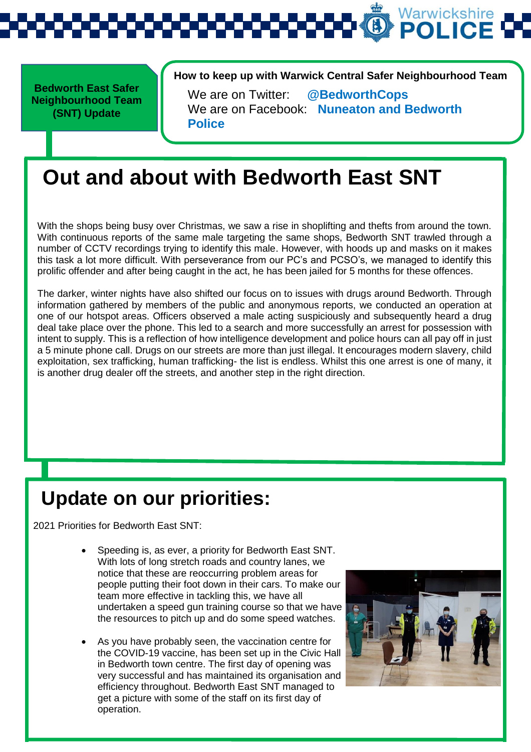

**Bedworth East Safer Neighbourhood Team (SNT) Update** 

**How to keep up with Warwick Central Safer Neighbourhood Team** 

We are on Twitter: **@BedworthCops** We are on Facebook: **Nuneaton and Bedworth Police**

## **Out and about with Bedworth East SNT**

With the shops being busy over Christmas, we saw a rise in shoplifting and thefts from around the town. With continuous reports of the same male targeting the same shops, Bedworth SNT trawled through a number of CCTV recordings trying to identify this male. However, with hoods up and masks on it makes this task a lot more difficult. With perseverance from our PC's and PCSO's, we managed to identify this prolific offender and after being caught in the act, he has been jailed for 5 months for these offences.

The darker, winter nights have also shifted our focus on to issues with drugs around Bedworth. Through information gathered by members of the public and anonymous reports, we conducted an operation at one of our hotspot areas. Officers observed a male acting suspiciously and subsequently heard a drug deal take place over the phone. This led to a search and more successfully an arrest for possession with intent to supply. This is a reflection of how intelligence development and police hours can all pay off in just a 5 minute phone call. Drugs on our streets are more than just illegal. It encourages modern slavery, child exploitation, sex trafficking, human trafficking- the list is endless. Whilst this one arrest is one of many, it is another drug dealer off the streets, and another step in the right direction.

## **Update on our priorities:**

2021 Priorities for Bedworth East SNT:

- Speeding is, as ever, a priority for Bedworth East SNT. With lots of long stretch roads and country lanes, we notice that these are reoccurring problem areas for people putting their foot down in their cars. To make our team more effective in tackling this, we have all undertaken a speed gun training course so that we have the resources to pitch up and do some speed watches.
- As you have probably seen, the vaccination centre for the COVID-19 vaccine, has been set up in the Civic Hall in Bedworth town centre. The first day of opening was very successful and has maintained its organisation and efficiency throughout. Bedworth East SNT managed to get a picture with some of the staff on its first day of operation.

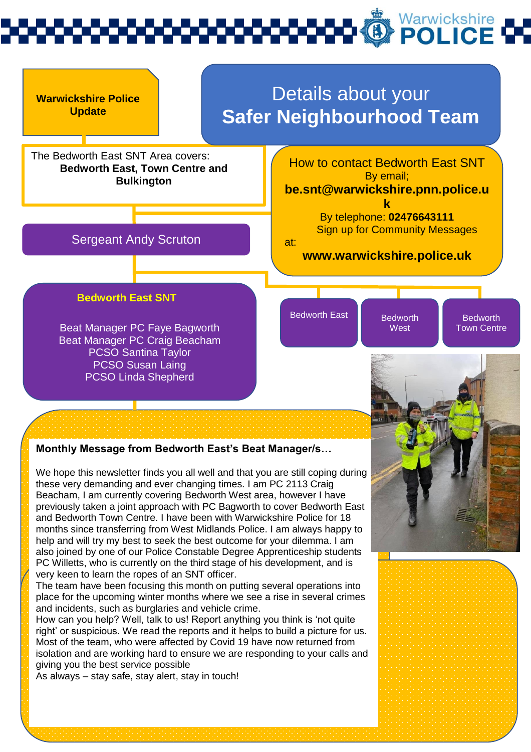# Warwickshire<br>**POLICE**



#### **Monthly Message from Bedworth East's Beat Manager/s…**

We hope this newsletter finds you all well and that you are still coping during these very demanding and ever changing times. I am PC 2113 Craig Beacham, I am currently covering Bedworth West area, however I have previously taken a joint approach with PC Bagworth to cover Bedworth East and Bedworth Town Centre. I have been with Warwickshire Police for 18 months since transferring from West Midlands Police. I am always happy to help and will try my best to seek the best outcome for your dilemma. I am also joined by one of our Police Constable Degree Apprenticeship students PC Willetts, who is currently on the third stage of his development, and is very keen to learn the ropes of an SNT officer.

The team have been focusing this month on putting several operations into place for the upcoming winter months where we see a rise in several crimes and incidents, such as burglaries and vehicle crime.

How can you help? Well, talk to us! Report anything you think is 'not quite right' or suspicious. We read the reports and it helps to build a picture for us. Most of the team, who were affected by Covid 19 have now returned from isolation and are working hard to ensure we are responding to your calls and giving you the best service possible

As always – stay safe, stay alert, stay in touch!

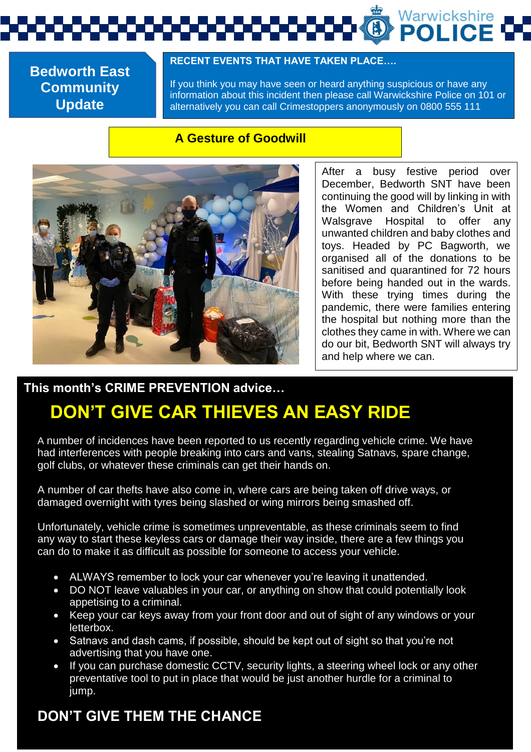Warwickshire<br>**POLICE** 

**Bedworth East Community Update**

#### **RECENT EVENTS THAT HAVE TAKEN PLACE….**

If you think you may have seen or heard anything suspicious or have any information about this incident then please call Warwickshire Police on 101 or alternatively you can call Crimestoppers anonymously on 0800 555 111

#### **A Gesture of Goodwill**



After a busy festive period over December, Bedworth SNT have been continuing the good will by linking in with the Women and Children's Unit at Walsgrave Hospital to offer any unwanted children and baby clothes and toys. Headed by PC Bagworth, we organised all of the donations to be sanitised and quarantined for 72 hours before being handed out in the wards. With these trying times during the pandemic, there were families entering the hospital but nothing more than the clothes they came in with. Where we can do our bit, Bedworth SNT will always try and help where we can.

#### **This month's CRIME PREVENTION advice…**

## **DON'T GIVE CAR THIEVES AN EASY RIDE**

A number of incidences have been reported to us recently regarding vehicle crime. We have had interferences with people breaking into cars and vans, stealing Satnavs, spare change, golf clubs, or whatever these criminals can get their hands on.

A number of car thefts have also come in, where cars are being taken off drive ways, or damaged overnight with tyres being slashed or wing mirrors being smashed off.

Unfortunately, vehicle crime is sometimes unpreventable, as these criminals seem to find any way to start these keyless cars or damage their way inside, there are a few things you can do to make it as difficult as possible for someone to access your vehicle.

- ALWAYS remember to lock your car whenever you're leaving it unattended.
- DO NOT leave valuables in your car, or anything on show that could potentially look appetising to a criminal.
- Keep your car keys away from your front door and out of sight of any windows or your letterbox.
- Satnavs and dash cams, if possible, should be kept out of sight so that you're not advertising that you have one.
- If you can purchase domestic CCTV, security lights, a steering wheel lock or any other preventative tool to put in place that would be just another hurdle for a criminal to jump.

### **DON'T GIVE THEM THE CHANCE**